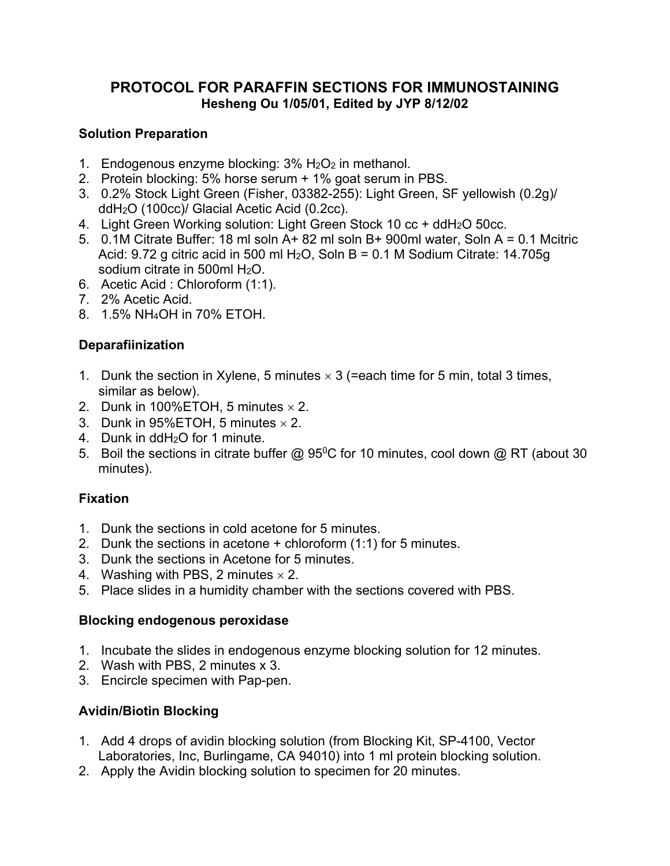## **PROTOCOL FOR PARAFFIN SECTIONS FOR IMMUNOSTAINING Hesheng Ou 1/05/01, Edited by JYP 8/12/02**

#### **Solution Preparation**

- 1. Endogenous enzyme blocking:  $3\%$  H<sub>2</sub>O<sub>2</sub> in methanol.
- 2. Protein blocking: 5% horse serum + 1% goat serum in PBS.
- 3. 0.2% Stock Light Green (Fisher, 03382-255): Light Green, SF yellowish (0.2g)/ ddH2O (100cc)/ Glacial Acetic Acid (0.2cc).
- 4. Light Green Working solution: Light Green Stock 10 cc + ddH2O 50cc.
- 5. 0.1M Citrate Buffer: 18 ml soln A+ 82 ml soln B+ 900ml water, Soln A = 0.1 Mcitric Acid:  $9.72$  g citric acid in 500 ml H<sub>2</sub>O, Soln B = 0.1 M Sodium Citrate: 14.705g sodium citrate in 500ml H2O.
- 6. Acetic Acid : Chloroform (1:1).
- 7. 2% Acetic Acid.
- 8. 1.5% NH4OH in 70% ETOH.

### **Deparafiinization**

- 1. Dunk the section in Xylene, 5 minutes  $\times$  3 (=each time for 5 min, total 3 times, similar as below).
- 2. Dunk in 100%ETOH, 5 minutes  $\times$  2.
- 3. Dunk in 95%ETOH, 5 minutes  $\times$  2.
- 4. Dunk in ddH2O for 1 minute.
- 5. Boil the sections in citrate buffer @  $95^{\circ}$ C for 10 minutes, cool down @ RT (about 30 minutes).

### **Fixation**

- 1. Dunk the sections in cold acetone for 5 minutes.
- 2. Dunk the sections in acetone + chloroform (1:1) for 5 minutes.
- 3. Dunk the sections in Acetone for 5 minutes.
- 4. Washing with PBS, 2 minutes  $\times$  2.
- 5. Place slides in a humidity chamber with the sections covered with PBS.

#### **Blocking endogenous peroxidase**

- 1. Incubate the slides in endogenous enzyme blocking solution for 12 minutes.
- 2. Wash with PBS, 2 minutes x 3.
- 3. Encircle specimen with Pap-pen.

### **Avidin/Biotin Blocking**

- 1. Add 4 drops of avidin blocking solution (from Blocking Kit, SP-4100, Vector Laboratories, Inc, Burlingame, CA 94010) into 1 ml protein blocking solution.
- 2. Apply the Avidin blocking solution to specimen for 20 minutes.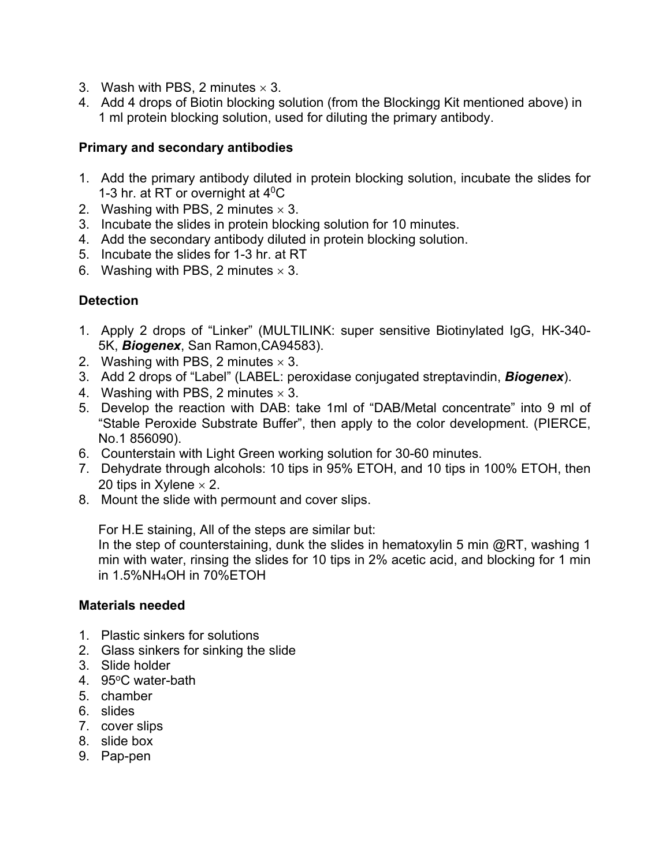- 3. Wash with PBS, 2 minutes  $\times$  3.
- 4. Add 4 drops of Biotin blocking solution (from the Blockingg Kit mentioned above) in 1 ml protein blocking solution, used for diluting the primary antibody.

#### **Primary and secondary antibodies**

- 1. Add the primary antibody diluted in protein blocking solution, incubate the slides for 1-3 hr. at RT or overnight at  $4^{\circ}$ C
- 2. Washing with PBS, 2 minutes  $\times$  3.
- 3. Incubate the slides in protein blocking solution for 10 minutes.
- 4. Add the secondary antibody diluted in protein blocking solution.
- 5. Incubate the slides for 1-3 hr. at RT
- 6. Washing with PBS, 2 minutes  $\times$  3.

### **Detection**

- 1. Apply 2 drops of "Linker" (MULTILINK: super sensitive Biotinylated IgG, HK-340- 5K, *Biogenex*, San Ramon,CA94583).
- 2. Washing with PBS, 2 minutes  $\times$  3.
- 3. Add 2 drops of "Label" (LABEL: peroxidase conjugated streptavindin, *Biogenex*).
- 4. Washing with PBS, 2 minutes  $\times$  3.
- 5. Develop the reaction with DAB: take 1ml of "DAB/Metal concentrate" into 9 ml of "Stable Peroxide Substrate Buffer", then apply to the color development. (PIERCE, No.1 856090).
- 6. Counterstain with Light Green working solution for 30-60 minutes.
- 7. Dehydrate through alcohols: 10 tips in 95% ETOH, and 10 tips in 100% ETOH, then 20 tips in Xylene  $\times$  2.
- 8. Mount the slide with permount and cover slips.

For H.E staining, All of the steps are similar but:

In the step of counterstaining, dunk the slides in hematoxylin 5 min  $@RT$ , washing 1 min with water, rinsing the slides for 10 tips in 2% acetic acid, and blocking for 1 min in 1.5%NH4OH in 70%ETOH

#### **Materials needed**

- 1. Plastic sinkers for solutions
- 2. Glass sinkers for sinking the slide
- 3. Slide holder
- 4. 95°C water-bath
- 5. chamber
- 6. slides
- 7. cover slips
- 8. slide box
- 9. Pap-pen